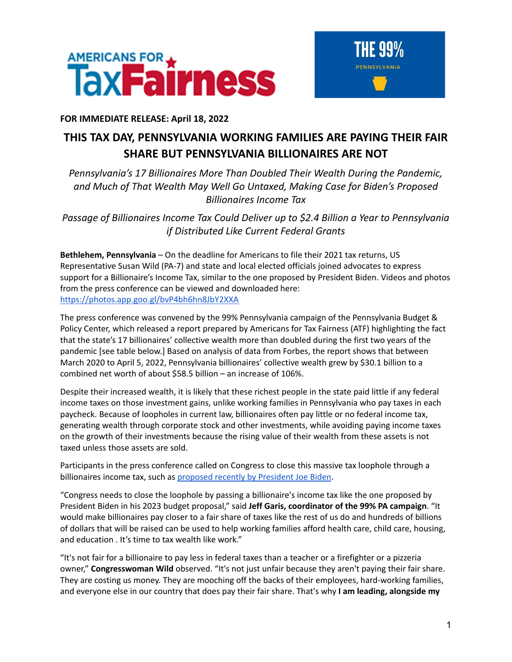



## **FOR IMMEDIATE RELEASE: April 18, 2022**

## **THIS TAX DAY, PENNSYLVANIA WORKING FAMILIES ARE PAYING THEIR FAIR SHARE BUT PENNSYLVANIA BILLIONAIRES ARE NOT**

*Pennsylvania's 17 Billionaires More Than Doubled Their Wealth During the Pandemic, and Much of That Wealth May Well Go Untaxed, Making Case for Biden's Proposed Billionaires Income Tax*

*Passage of Billionaires Income Tax Could Deliver up to \$2.4 Billion a Year to Pennsylvania if Distributed Like Current Federal Grants*

**Bethlehem, Pennsylvania** – On the deadline for Americans to file their 2021 tax returns, US Representative Susan Wild (PA-7) and state and local elected officials joined advocates to express support for a Billionaire's Income Tax, similar to the one proposed by President Biden. Videos and photos from the press conference can be viewed and downloaded here: <https://photos.app.goo.gl/bvP4bh6hn8JbY2XXA>

The press conference was convened by the 99% Pennsylvania campaign of the Pennsylvania Budget & Policy Center, which released a report prepared by Americans for Tax Fairness (ATF) highlighting the fact that the state's 17 billionaires' collective wealth more than doubled during the first two years of the pandemic [see table below.] Based on analysis of data from Forbes, the report shows that between March 2020 to April 5, 2022, Pennsylvania billionaires' collective wealth grew by \$30.1 billion to a combined net worth of about \$58.5 billion – an increase of 106%.

Despite their increased wealth, it is likely that these richest people in the state paid little if any federal income taxes on those investment gains, unlike working families in Pennsylvania who pay taxes in each paycheck. Because of loopholes in current law, billionaires often pay little or no federal income tax, generating wealth through corporate stock and other investments, while avoiding paying income taxes on the growth of their investments because the rising value of their wealth from these assets is not taxed unless those assets are sold.

Participants in the press conference called on Congress to close this massive tax loophole through a billionaires income tax, such as [proposed](https://www.nytimes.com/2022/03/28/us/politics/biden-billionaire-tax.html) recently by President Joe Biden.

"Congress needs to close the loophole by passing a billionaire's income tax like the one proposed by President Biden in his 2023 budget proposal," said **Jeff Garis, coordinator of the 99% PA campaign**. "It would make billionaires pay closer to a fair share of taxes like the rest of us do and hundreds of billions of dollars that will be raised can be used to help working families afford health care, child care, housing, and education . It's time to tax wealth like work."

"It's not fair for a billionaire to pay less in federal taxes than a teacher or a firefighter or a pizzeria owner," **Congresswoman Wild** observed. "It's not just unfair because they aren't paying their fair share. They are costing us money. They are mooching off the backs of their employees, hard-working families, and everyone else in our country that does pay their fair share. That's why **I am leading, alongside my**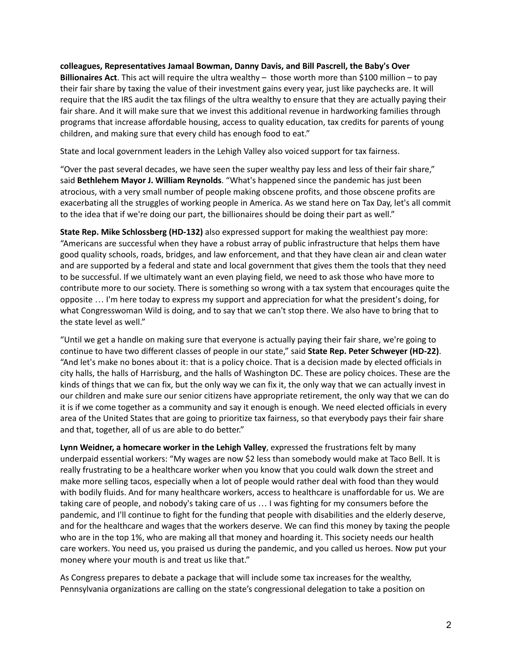**colleagues, Representatives Jamaal Bowman, Danny Davis, and Bill Pascrell, the Baby's Over Billionaires Act**. This act will require the ultra wealthy – those worth more than \$100 million – to pay their fair share by taxing the value of their investment gains every year, just like paychecks are. It will require that the IRS audit the tax filings of the ultra wealthy to ensure that they are actually paying their fair share. And it will make sure that we invest this additional revenue in hardworking families through programs that increase affordable housing, access to quality education, tax credits for parents of young children, and making sure that every child has enough food to eat."

State and local government leaders in the Lehigh Valley also voiced support for tax fairness.

"Over the past several decades, we have seen the super wealthy pay less and less of their fair share," said **Bethlehem Mayor J. William Reynolds**. "What's happened since the pandemic has just been atrocious, with a very small number of people making obscene profits, and those obscene profits are exacerbating all the struggles of working people in America. As we stand here on Tax Day, let's all commit to the idea that if we're doing our part, the billionaires should be doing their part as well."

**State Rep. Mike Schlossberg (HD-132)** also expressed support for making the wealthiest pay more: "Americans are successful when they have a robust array of public infrastructure that helps them have good quality schools, roads, bridges, and law enforcement, and that they have clean air and clean water and are supported by a federal and state and local government that gives them the tools that they need to be successful. If we ultimately want an even playing field, we need to ask those who have more to contribute more to our society. There is something so wrong with a tax system that encourages quite the opposite … I'm here today to express my support and appreciation for what the president's doing, for what Congresswoman Wild is doing, and to say that we can't stop there. We also have to bring that to the state level as well."

"Until we get a handle on making sure that everyone is actually paying their fair share, we're going to continue to have two different classes of people in our state," said **State Rep. Peter Schweyer (HD-22)**. "And let's make no bones about it: that is a policy choice. That is a decision made by elected officials in city halls, the halls of Harrisburg, and the halls of Washington DC. These are policy choices. These are the kinds of things that we can fix, but the only way we can fix it, the only way that we can actually invest in our children and make sure our senior citizens have appropriate retirement, the only way that we can do it is if we come together as a community and say it enough is enough. We need elected officials in every area of the United States that are going to prioritize tax fairness, so that everybody pays their fair share and that, together, all of us are able to do better."

**Lynn Weidner, a homecare worker in the Lehigh Valley**, expressed the frustrations felt by many underpaid essential workers: "My wages are now \$2 less than somebody would make at Taco Bell. It is really frustrating to be a healthcare worker when you know that you could walk down the street and make more selling tacos, especially when a lot of people would rather deal with food than they would with bodily fluids. And for many healthcare workers, access to healthcare is unaffordable for us. We are taking care of people, and nobody's taking care of us … I was fighting for my consumers before the pandemic, and I'll continue to fight for the funding that people with disabilities and the elderly deserve, and for the healthcare and wages that the workers deserve. We can find this money by taxing the people who are in the top 1%, who are making all that money and hoarding it. This society needs our health care workers. You need us, you praised us during the pandemic, and you called us heroes. Now put your money where your mouth is and treat us like that."

As Congress prepares to debate a package that will include some tax increases for the wealthy, Pennsylvania organizations are calling on the state's congressional delegation to take a position on